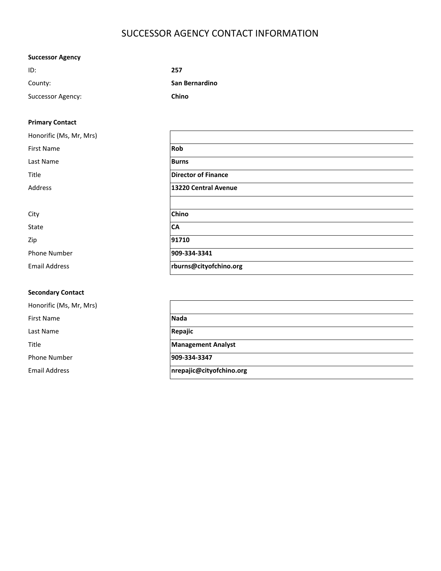# SUCCESSOR AGENCY CONTACT INFORMATION

## Successor Agency

| ID:               | 257            |
|-------------------|----------------|
| County:           | San Bernardino |
| Successor Agency: | Chino          |

### Primary Contact

| Honorific (Ms, Mr, Mrs) |                            |  |
|-------------------------|----------------------------|--|
| <b>First Name</b>       | Rob                        |  |
| Last Name               | <b>Burns</b>               |  |
| Title                   | <b>Director of Finance</b> |  |
| Address                 | 13220 Central Avenue       |  |
|                         |                            |  |
| City                    | Chino                      |  |
| State                   | <b>CA</b>                  |  |
| Zip                     | 91710                      |  |
| Phone Number            | 909-334-3341               |  |
| <b>Email Address</b>    | rburns@cityofchino.org     |  |
|                         |                            |  |

### Secondary Contact

| Honorific (Ms, Mr, Mrs) |                           |
|-------------------------|---------------------------|
| <b>First Name</b>       | <b>Nada</b>               |
| Last Name               | Repajic                   |
| Title                   | <b>Management Analyst</b> |
| <b>Phone Number</b>     | 909-334-3347              |
| <b>Email Address</b>    | nrepajic@cityofchino.org  |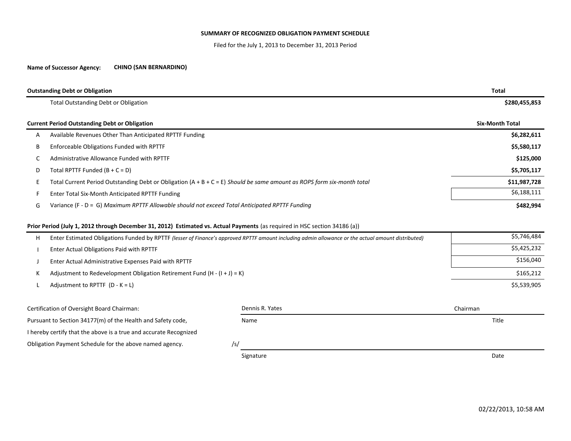#### SUMMARY OF RECOGNIZED OBLIGATION PAYMENT SCHEDULE

Filed for the July 1, 2013 to December 31, 2013 Period

#### Name of Successor Agency:CHINO (SAN BERNARDINO)

|   | <b>Outstanding Debt or Obligation</b>                                                                                    | Total                  |
|---|--------------------------------------------------------------------------------------------------------------------------|------------------------|
|   | <b>Total Outstanding Debt or Obligation</b>                                                                              | \$280,455,853          |
|   | <b>Current Period Outstanding Debt or Obligation</b>                                                                     | <b>Six-Month Total</b> |
| A | Available Revenues Other Than Anticipated RPTTF Funding                                                                  | \$6,282,611            |
| B | Enforceable Obligations Funded with RPTTF                                                                                | \$5,580,117            |
|   | Administrative Allowance Funded with RPTTF                                                                               | \$125,000              |
| D | Total RPTTF Funded $(B + C = D)$                                                                                         | \$5,705,117            |
|   | Total Current Period Outstanding Debt or Obligation $(A + B + C = E)$ Should be same amount as ROPS form six-month total | \$11,987,728           |
|   | Enter Total Six-Month Anticipated RPTTF Funding                                                                          | \$6,188,111            |
| G | Variance (F - D = G) Maximum RPTTF Allowable should not exceed Total Anticipated RPTTF Funding                           | \$482,994              |

#### Prior Period (July 1, 2012 through December 31, 2012) Estimated vs. Actual Payments (as required in HSC section 34186 (a))

| н | Enter Estimated Obligations Funded by RPTTF (lesser of Finance's approved RPTTF amount including admin allowance or the actual amount distributed) | \$5,746,484 |
|---|----------------------------------------------------------------------------------------------------------------------------------------------------|-------------|
|   | Enter Actual Obligations Paid with RPTTF                                                                                                           | \$5,425,232 |
|   | Enter Actual Administrative Expenses Paid with RPTTF                                                                                               | \$156,040   |
|   | Adjustment to Redevelopment Obligation Retirement Fund $(H - (I + J) = K)$                                                                         | \$165,212   |
|   | Adjustment to RPTTF $(D - K = L)$                                                                                                                  | \$5,539,905 |
|   |                                                                                                                                                    |             |

| Certification of Oversight Board Chairman:                        | Dennis R. Yates | Chairman |
|-------------------------------------------------------------------|-----------------|----------|
| Pursuant to Section 34177(m) of the Health and Safety code,       | Name            | Title    |
| I hereby certify that the above is a true and accurate Recognized |                 |          |
| Obligation Payment Schedule for the above named agency.<br>/s/    |                 |          |
|                                                                   | Signature       | Date     |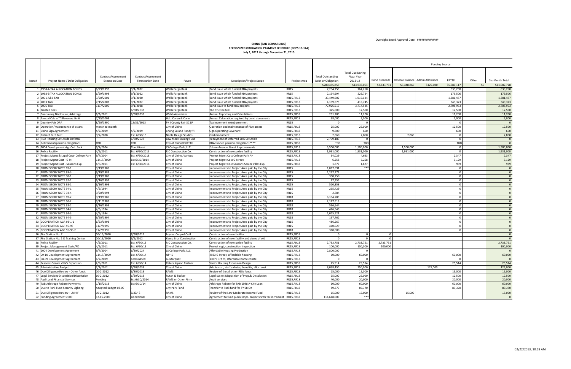Oversight Board Approval Date: ##############

|        |                                                    |                        |                         |                                |                                                                                                |                            |                          |                                        |             |                                               |           | <b>Funding Source</b> |                 |                                  |
|--------|----------------------------------------------------|------------------------|-------------------------|--------------------------------|------------------------------------------------------------------------------------------------|----------------------------|--------------------------|----------------------------------------|-------------|-----------------------------------------------|-----------|-----------------------|-----------------|----------------------------------|
|        |                                                    |                        |                         |                                |                                                                                                |                            |                          |                                        |             |                                               |           |                       |                 |                                  |
|        |                                                    | Contract/Agreement     | Contract/Agreement      |                                |                                                                                                |                            | <b>Total Outstanding</b> | <b>Total Due During</b><br>Fiscal Year |             |                                               |           |                       |                 |                                  |
| Item # | Project Name / Debt Obligation                     | <b>Execution Date</b>  | <b>Termination Date</b> | Payee                          | <b>Description/Project Scope</b>                                                               | Project Area               | Debt or Obligation       | 2013-14                                |             | Bond Proceeds Reserve Balance Admin Allowance |           | <b>RPTTF</b>          | Other           | Six-Month Total                  |
|        |                                                    |                        |                         |                                |                                                                                                |                            | \$280,455,853            | \$13,933,061                           | \$2,833,751 | \$3,448,860                                   | \$125,000 | \$5,580,117           | 50 <sup>1</sup> | \$11,987,728                     |
|        | 1 1998-A TAX ALLOCATION BONDS                      | 6/29/1998              | 9/1/2022                | <b>Wells Fargo Bank</b>        | Bond issue which funded RDA projects                                                           | <b>RR15</b>                | 7,204,750                | 764,250                                |             |                                               |           | 633.250               |                 | 633,250                          |
|        | 2 1998-B TAX ALLOCATION BONDS                      | 6/29/1998              | 9/1/2022                | Wells Fargo Bank               | Bond issue which funded RDA projects                                                           | <b>RR15</b>                | 2,194,994                | 229,794                                |             |                                               |           | 179,506               |                 | 179,506                          |
|        | 3 2001 A&B TAB                                     | 3/20/2001              | 9/1/2030                | Wells Fargo Bank               | Bond issue which funded RDA projects                                                           | RR15, RR18                 | 33,449,602               | 1,919,124                              |             |                                               |           | 1,381,477             |                 | 1,381,477                        |
|        | 4 2003 TAB                                         | 7/15/2003              | 9/1/2022                | Wells Fargo Bank               | Bond issue which funded RDA projects                                                           | RR15, RR18                 | 4,139,675                | 413.745                                |             |                                               |           | 349,323               |                 | 349,323                          |
|        | 5 2006 TAB                                         | 11/7/2006              | 9/1/2038                | Wells Fargo Bank               | Bond issue to fund RDA projects                                                                | RR15, RR18                 | 77,926,519               | 3,714,525                              |             |                                               |           | 2,708,963             |                 | 2,708,963                        |
|        | 6 Trustee Fees                                     |                        | 6/30/2038               | Wells Fargo Bank               | <b>TAB Trustee fees</b>                                                                        | RR15.RR18                  | 325,000                  | 12.500                                 |             |                                               |           | 12.500                |                 | 12,500                           |
|        | 7 Continuing Disclosure, Arbitrage                 | 6/2/2011               | 6/30/2038               | <b>Webb Associates</b>         | Annual Reporting and Calculations                                                              | RR15, RR18                 | 291,200                  | 11,200                                 |             |                                               |           | 11,200                |                 | 11,200                           |
|        | 8 Annual Calc of TI Revenue Limit                  | 7/15/2003              |                         | HdL, Coren & Cone              | Annual Calculation required by bond documents                                                  | RR15, RR18                 | 38,000                   | 2,000                                  |             |                                               |           | 2,000                 |                 | 2,000                            |
|        | 9 Country Fair OPA                                 | 8/20/1990              | 12/31/2013              | PK I County Fair SC LP         | Tax Increment reimbursement                                                                    | <b>RR15</b>                |                          | $\Omega$                               |             |                                               |           |                       |                 | $\Omega$                         |
|        | 10 Operation/maintenance of assets                 | month to month         |                         | City of Chino                  | Operation and maintenance of RDA assets                                                        | RR15, RR18                 | 25,000                   | 25,000                                 |             |                                               |           | 12,500                |                 | 12,500                           |
|        | 11 Chino Sign Agreement                            | 4/2/2009               | 4/2/2029                | Chong Su and Randy Yi          | <b>Sign Operating Covenant</b>                                                                 | RR15, RR18                 | 9.600                    | 600                                    |             |                                               |           | 600                   |                 | 600                              |
|        | 12 Richard Gird Bust                               | 9/7/2008               | Est. 6/30/13            | Noble Design Studios           | Gird monument                                                                                  | RR15.RR18                  | 2,860                    | 2.860                                  |             | 2.860                                         |           | $\Omega$              |                 | 2,860                            |
|        | 13 RDA Housing Set-Aside Deferral                  |                        | 6/30/2027               | Low Mod Housing Fund           | Repayment of Deferred 20% Set Aside                                                            | RR15, RR18                 | 2,709,189                | $\overline{0}$                         |             |                                               |           |                       |                 | $\Omega$                         |
|        | 14 Retirement/pension obligations                  | TBD                    | TBD                     | City of Chino/CalPERS          | RDA funded pension obligations****                                                             | RR15, RR18                 | <b>TBD</b>               | <b>TBD</b>                             |             |                                               |           | TBD                   |                 | $\overline{0}$                   |
|        | 15 2004 Development Agr-Coll. Park                 | 9/7/2004               | Conditional             | LS College Park, LLC           | <b>Edison Avenue Street Improvements</b>                                                       | RR15, RR18                 | 5,500,000                | 1,500,000                              |             | 1,500,000                                     |           |                       |                 | 1,500,000                        |
|        | 16 Police Facility                                 | 4/5/2011               | Est. 6/30/2013          | RIC Construction Co.           | Construction of new police facility                                                            | RR15.RR18                  | 1,931,000                | 1,931,000                              |             | 1.931.000                                     |           | $\Omega$              |                 | 1.931.000                        |
|        | 17 Project Mgmt & Legal Cost- College Park         | 9/7/2004               | Est. 6/30/2018          | City of Chino, Various         | Project Mgmt Cost College Park AH                                                              | RR15, RR18                 | 34,029                   | 4,693                                  |             |                                               |           | 2,347                 |                 | 2,347                            |
|        | 18 Project Mgmt Cost - G St                        | 11/17/2009             | Est.6/30/2014           | City of Chino                  | Project Mgmt Cost G Street                                                                     | RR15, RR18                 | 6,258                    | 6,258                                  |             |                                               |           | 3,129                 |                 | 3,129                            |
|        | 19 Project Mgmt Cost - Seasons Exp                 | 4/5/2011               | Est. 6/30/2014          | City of Chino                  | Project Mgmt Cost Seasons Senior Villas Exp                                                    | RR15, RR18                 | 1,877                    | 1,877<br>***                           |             |                                               |           | 939                   |                 | 939                              |
|        | 20 PROMISSORY NOTE 89-1                            | 9/19/1989              |                         | City of Chino                  | mprovements to Project Area paid by the City                                                   | <b>RR15</b>                | 1,817,691                |                                        |             |                                               |           |                       |                 | $\overline{0}$                   |
|        | 21 PROMISSORY NOTE 89-3<br>22 PROMISSORY NOTE 90-1 | 9/19/1989<br>9/19/1989 |                         | City of Chino                  | Improvements to Project Area paid by the City                                                  | <b>RR15</b><br><b>RR15</b> | 1,297,273<br>350.250     |                                        |             |                                               |           | $\Omega$              |                 | $\overline{0}$                   |
|        | 23 PROMISSORY NOTE 92-1                            | 6/16/1992              |                         | City of Chino<br>City of Chino | Improvements to Project Area paid by the City                                                  | <b>RR15</b>                |                          |                                        |             |                                               |           | $\Omega$              |                 | $\overline{0}$<br>$\overline{0}$ |
|        | 24 PROMISSORY NOTE 93-1                            | 6/16/1993              |                         | City of Chino                  | Improvements to Project Area paid by the City<br>Improvements to Project Area paid by the City | <b>RR15</b>                | 87,355<br>510,358        |                                        |             |                                               |           |                       |                 | $\mathbf{0}$                     |
|        | 25 PROMISSORY NOTE 94-1                            | 4/5/1994               |                         | City of Chino                  | Improvements to Project Area paid by the City                                                  | <b>RR15</b>                | 295,429                  |                                        |             |                                               |           |                       |                 | $\Omega$                         |
|        | 26 PROMISSORY NOTE 94-4                            | 9/20/1994              |                         | City of Chino                  | Improvements to Project Area paid by the City                                                  | <b>RR15</b>                | 2,784                    |                                        |             |                                               |           |                       |                 | $\overline{0}$                   |
|        | 27 PROMISSORY NOTE 89-2                            | 9/19/1989              |                         | City of Chino                  | Improvements to Project Area paid by the City                                                  | <b>RR18</b>                | 6,154,285                |                                        |             |                                               |           |                       |                 | $\mathbf{0}$                     |
|        | 28 PROMISSORY NOTE 90-2                            | 9/11/1989              |                         | City of Chino                  | Improvements to Project Area paid by the City                                                  | <b>RR18</b>                | 2,127,618                |                                        |             |                                               |           | $\Omega$              |                 | $\overline{0}$                   |
|        | 29 PROMISSORY NOTE 93-2                            | 6/16/1993              |                         | City of Chino                  | mprovements to Project Area paid by the City                                                   | <b>RR18</b>                | 536,644                  |                                        |             |                                               |           |                       |                 | $\mathbf{0}$                     |
|        | 30 PROMISSORY NOTE 94-2                            | 4/5/1994               |                         | City of Chino                  | Improvements to Project Area paid by the City                                                  | <b>RR18</b>                | 426,949                  |                                        |             |                                               |           | $\Omega$              |                 | $\overline{0}$                   |
|        | 31 PROMISSORY NOTE 94-3                            | 4/5/1994               |                         | City of Chino                  | Improvements to Project Area paid by the City                                                  | <b>RR18</b>                | 1,015,521                |                                        |             |                                               |           |                       |                 | $\overline{0}$                   |
|        | 32 PROMISSORY NOTE 94-5                            | 9/20/1994              |                         | City of Chino                  | Improvements to Project Area paid by the City                                                  | <b>RR18</b>                | 197,762                  |                                        |             |                                               |           | $\Omega$              |                 | $\overline{0}$                   |
|        | 33 COOPERATION AGR 93-1-1                          | 6/23/1993              |                         | City of Chino                  | Improvements to Project Area paid by the City                                                  | <b>RR15</b>                | 486,267                  |                                        |             |                                               |           |                       |                 | $\Omega$                         |
|        | 34 COOPERATION AGR 95-96                           | 11/7/1995              |                         | City of Chino                  | Improvements to Project Area paid by the City                                                  | <b>RR15</b>                | 410,029                  |                                        |             |                                               |           |                       |                 | $\overline{0}$                   |
|        | 35 COOPERATION AGR 95-96-2                         | 11/7/1995              |                         | City of Chino                  | Improvements to Project Area paid by the City                                                  | <b>RR18</b>                | 310,000                  |                                        |             |                                               |           |                       |                 | $\mathbf{0}$                     |
|        | 36 Fire Station No. 7                              | 10/19/2010             | 8/30/2011               | Jaynes Corp of Calif           | Construction of new facility                                                                   | RR15.RR18                  | $\Omega$                 | $\Omega$                               |             |                                               |           |                       |                 | $\mathbf{0}$                     |
|        | 37 Fire Station No. 1 & Training Center            | 10/19/2010             | 6/5/2012                | Kemp Bros Construction         | Construction of new facility and demo of old                                                   | RR15.RR18                  | $\overline{0}$           | $\Omega$                               |             |                                               |           |                       |                 | $\overline{0}$                   |
|        | 38 Police Facility                                 | 4/5/2011               | Est. 6/30/13            | RIC Construction Co.           | Construction of new police facility                                                            | RR15, RR18                 | 2,733,751                | 2,733,751                              | 2,733,751   |                                               |           |                       |                 | 2,733,751                        |
|        | 39 Project Management Costs/PD                     | 4/5/2011               | Est. 6/30/13            | City of Chino                  | Project mgt, construction inspection                                                           | RR15, RR18                 | 100,000                  | 100,000                                | 100,000     |                                               |           |                       |                 | 100,000                          |
|        | 41 2004 Development Agreement                      | 9/7/2004               | 6/30/2024               | LS College Park, LLC           | Affordable Housing Production                                                                  | RR15, RR18                 | 2,800,000                | $\Omega$                               |             |                                               |           |                       |                 | $\overline{0}$                   |
|        | 42 09-10 Development Agreement                     | 11/17/2009             | Est. 6/30/14            | <b>NPHS</b>                    | 4923 G Street, affordable housing                                                              | RR15, RR18                 | 60,000                   | 60.000                                 |             |                                               |           | 60.000                |                 | 60,000                           |
|        | 43 08-09 Development Agreement                     | 6/2/2009               | Terminated              | G. Marquez                     | 13079 3rd St, affordable home constr.                                                          | RR15, RR18                 |                          | $\Omega$                               |             |                                               |           |                       |                 | $\Omega$                         |
|        | 44 Season's Senior Villa's Expansion               | 4/5/2011               | Est. 6/30/14            | Peters Jepson Partner          | Senior Housing Expansion Design                                                                | RR15, RR18                 | 25,514                   | 25,514                                 |             |                                               |           | 25,514                |                 | 25,514                           |
|        | 45 Administrative Budget                           | 2/1/2012               | 6/30/2038               | City of Chino                  | Admin cost, staff salaries, benefits, alloc. cost                                              | RR15, RR18                 | 8,058,450                | 250,000                                |             |                                               | 125,000   |                       |                 | 125,000                          |
|        | 46 Due Dilligence Review - Other funds             | 10-2-2012              | 6/30/2013               | RAMS                           | Review of the all other RDA funds                                                              | RR15, RR18                 | 15,000                   | 15,000                                 |             |                                               |           | 15,000                |                 | 15,000                           |
|        | 47 Legal Services-Disposition/Dissolution          | 10-2-2012              | 6/30/2013               | Rutan & Tucker                 | Legal svc re: Disposition of Prop.& Dissolution                                                | RR15, RR18                 | 25,000                   | 25,000                                 |             |                                               |           | 12,500                |                 | 12,500                           |
|        | 48 Audit and Financial Services                    | Pending                | Est 6/30/2014           | <b>RAMS or Other Firms</b>     | Audit services                                                                                 | RR15.RR18                  | 40.000                   | 20.000                                 |             |                                               |           | 20.000                |                 | 20,000                           |
|        | 49 TAB Arbitrage Rebate Payments                   | 1/15/2013              | Est 6/30/14             | City of Chino                  | Arbitrage Rebate for TAB 1998 A-City Loan                                                      | RR15, RR18                 | 60,000                   | 60,000                                 |             |                                               |           | 60,000                |                 | 60,000                           |
|        | 50 Due to Park Fund Security Lighting              | Adopted Budget 08-09   |                         | City Park Fund                 | Transfer to Park fund for FY 08-09                                                             | RR15, RR18                 | 89,370                   | 89,370                                 |             |                                               |           | 89,370                |                 | 89,370                           |
|        | 51 Due Dilligence Review - LMHIF                   | 10-2-2012              | 6/30/13                 | <b>RAMS</b>                    | Review of the Low Moderate Income Fund                                                         | <b>RR15.RR18</b>           | 15.000                   | 15.000                                 |             | 15.000                                        |           |                       |                 | 15,000                           |
|        | 52 Funding Agreement 2009                          | 12-15-2009             | Conditional             | City of Chino                  | Agreement to fund public impr. projects with tax increment RR15, RR18                          |                            | 114.618.000              | $***$                                  |             |                                               |           |                       |                 | $\Omega$                         |

### CHINO (SAN BERNARDINO)RECOGNIZED OBLIGATION PAYMENT SCHEDULE (ROPS 13-14A) July 1, 2013 through December 31, 2013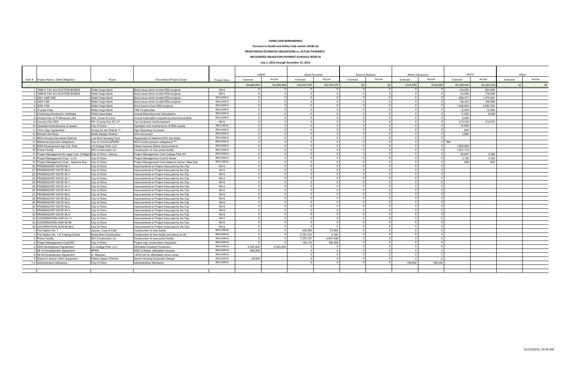|                                             |                                 |                                                   |                     | LMIHF       |             | <b>Bond Proceeds</b> |             | Reserve Balance      |                | Admin Allowance |                | <b>RPTTF</b> |             | Other    |        |
|---------------------------------------------|---------------------------------|---------------------------------------------------|---------------------|-------------|-------------|----------------------|-------------|----------------------|----------------|-----------------|----------------|--------------|-------------|----------|--------|
| Item # Project Name / Debt Obligation       | Payee                           | <b>Description/Project Scope</b>                  | <b>Project Area</b> | Estimate    | Actual      | Estimate             | Actual      | Estimate             | Actual         | Estimate        | Actual         | Estimate     | Actual      | Estimate | Actual |
|                                             |                                 |                                                   |                     | \$6,680,000 | \$6,200,000 | \$10,597,670         | \$4,747,579 | \$0                  | \$0            | \$156,040       | \$156,040      | \$5,590,445  | \$5,425,232 | \$0      | 50     |
| 1 1998-A TAX ALLOCATION BONDS               | <b>Wells Fargo Bank</b>         | Bond issue which funded RDA projects              | <b>RR15</b>         |             |             | $\Omega$             |             | $\Omega$             | $\overline{0}$ |                 | $\Omega$       | 143.250      | 624.295     |          |        |
| 2 1998-B TAX ALLOCATION BONDS               | <b>Wells Fargo Bank</b>         | Bond issue which funded RDA projects              | <b>RR15</b>         | $\Omega$    |             | $\Omega$             | $\Omega$    | $\Omega$             | $\overline{0}$ |                 | $\overline{0}$ | 54.506       | 178.556     |          |        |
| 3 2001 A&B TAB                              | Wells Fargo Bank                | Bond issue which funded RDA projects              | RR15, RR18          | $\Omega$    |             | $\Omega$             | $\Omega$    | $\Omega$             | $\Omega$       | $\Omega$        | $\overline{0}$ | 556.477      | 1.375.301   |          |        |
| 4 2003 TAB                                  | Wells Fargo Bank                | Bond issue which funded RDA projects              | RR15, RR18          | $\Omega$    |             | $\Omega$             | $\Omega$    | $\Omega$             | $\Omega$       |                 | $\overline{0}$ | 69.323       | 348.998     |          |        |
| 5 2006 TAB                                  | Wells Fargo Bank                | Bond issue to fund RDA projects                   | RR15, RR18          |             |             |                      |             | $\Omega$             | $\Omega$       |                 | $\overline{0}$ | 1.038.963    | 2.660.763   |          |        |
| 6 Trustee Fees                              | Wells Fargo Bank                | <b>TAB Trustee fees</b>                           | RR15, RR18          | $\Omega$    |             |                      |             | $\Omega$             | $\Omega$       |                 | $\overline{0}$ | 12.500       | 12.000      |          |        |
| 7 Continuing Disclosure, Arbitrage          | <b>Webb Associates</b>          | Annual Reporting and Calculations                 | RR15, RR18          |             |             |                      |             | $\Omega$             | $\Omega$       |                 | $\overline{0}$ | 11.200       | 8.008       |          |        |
| 8 Annual Calc of TI Revenue Limit           | HdL. Coren & Cone               | Annual Calculation required by bond documents     | RR15, RR18          |             |             |                      |             | $\Omega$             | $\Omega$       |                 | $\Omega$       | 2.000        | $\sim$      |          |        |
| 9 Country Fair OPA                          | PK I County Fair SC LP          | Tax Increment reimbursement                       | <b>RR15</b>         |             |             |                      |             | $\Omega$             | $\Omega$       |                 | $\overline{0}$ | 213.743      | 210.975     |          |        |
| 10 Operation/maintenance of assets          | City of Chino                   | Operation and maintenance of RDA assets           | RR15, RR18          |             |             |                      |             | $\Omega$             | $\Omega$       |                 | $\overline{0}$ | 25.000       |             |          |        |
| 11 Chino Sign Agreement                     | Chong Su and Randy Yi           | <b>Sign Operating Covenant</b>                    | RR15, RR18          | $\Omega$    |             |                      | $\Omega$    | $\Omega$             | $\Omega$       |                 | $\overline{0}$ | 600          | $\sim$      |          |        |
| 12 Richard Gird Bust                        | Noble Design Studios            | Gird monument                                     | RR15, RR18          |             |             |                      |             | $\Omega$             | $\Omega$       |                 | $\overline{0}$ | 2,860        |             |          |        |
| 13 RDA Housing Set-Aside Deferral           | Low Mod Housing Fund            | Repayment of Deferred 20% Set Aside               | RR15, RR18          | $\Omega$    |             |                      |             | $\Omega$             | $\overline{0}$ |                 | $\overline{0}$ |              |             |          |        |
| 14 Retirement/pension obligations           | City of Chino/CalPERS           | RDA funded pension obligations****                | RR15, RR18          |             |             | $\Omega$             |             | $\Omega$             | $\overline{0}$ |                 |                | $0$ TBD      |             |          |        |
| 15 2004 Development Agr-Coll. Park          | LS College Park, LLC            | Edison Avenue Street Improvements                 | RR15, RR18          | $\Omega$    |             | $\Omega$             | $\Omega$    | $\Omega$             | $\Omega$       |                 | $\overline{0}$ | 1.500.000    |             |          |        |
| 16 Police Facility                          | RIC Construction Co.            | Construction of new police facility               | RR15, RR18          | $\Omega$    |             | $\Omega$             | $\Omega$    | $\Omega$             | $\Omega$       |                 | $\overline{0}$ | 1,931,110    |             |          |        |
| 17 Project Management & Legal Cost- College | <b>I</b> City of Chino, Various | Project Management Cost College Park AH           | RR15, RR18          | $\Omega$    |             | $\Omega$             |             | $\Omega$             | $\Omega$       |                 | $\Omega$       | 24.847       | 2.269       |          |        |
| 18 Project Management Cost - G St           | City of Chino                   | Project Management Cost G Street                  | RR15, RR18          | $\Omega$    |             | $\Omega$             | $\Omega$    | $\Omega$             | $\Omega$       |                 | $\overline{0}$ | 3,129        | 3,129       |          |        |
| 19 Project Management Cost - Seasons Exp    | City of Chino                   | Project Management Cost Seasons Senior Villas Exp | RR15, RR18          | $\Omega$    |             |                      |             | $\Omega$             | $\overline{0}$ |                 | $\overline{0}$ | 939          | 939         |          |        |
| 20 PROMISSORY NOTE 89-1                     | City of Chino                   | Improvements to Project Area paid by the City     | <b>RR15</b>         | $\Omega$    |             |                      | $\Omega$    | $\Omega$             | $\Omega$       |                 | $\overline{0}$ |              |             |          |        |
| 21 PROMISSORY NOTE 89-3                     | City of Chino                   | Improvements to Project Area paid by the City     | <b>RR15</b>         |             |             |                      |             | $\Omega$             | $\mathbf 0$    |                 | $\overline{0}$ |              |             |          |        |
| 22 PROMISSORY NOTE 90-1                     | City of Chino                   | Improvements to Project Area paid by the City     | <b>RR15</b>         |             |             |                      |             | $\Omega$             | $\Omega$       |                 | $\overline{0}$ |              |             |          |        |
| 23 PROMISSORY NOTE 92-1                     | City of Chino                   | mprovements to Project Area paid by the City      | <b>RR15</b>         |             |             |                      |             |                      | $\Omega$       |                 | $\Omega$       |              |             |          |        |
| 24 PROMISSORY NOTE 93-1                     | City of Chino                   | mprovements to Project Area paid by the City      | <b>RR15</b>         |             |             |                      |             |                      | $\Omega$       |                 | $\overline{0}$ |              |             |          |        |
| 25 PROMISSORY NOTE 94-1                     | City of Chino                   | mprovements to Project Area paid by the City      | <b>RR15</b>         |             |             |                      |             | $\Omega$             | $\Omega$       |                 | $\Omega$       |              |             |          |        |
| 26 PROMISSORY NOTE 94-4                     | City of Chino                   | mprovements to Project Area paid by the City      | <b>RR15</b>         |             |             |                      |             | $\Omega$             | $\Omega$       |                 | $\overline{0}$ |              |             |          |        |
| 27 PROMISSORY NOTE 89-2                     | City of Chino                   | Improvements to Project Area paid by the City     | <b>RR18</b>         | $\Omega$    |             | $\Omega$             |             | $\Omega$             | $\overline{0}$ |                 | $\overline{0}$ |              |             |          |        |
| 28 PROMISSORY NOTE 90-2                     | City of Chino                   | Improvements to Project Area paid by the City     | <b>RR18</b>         | $\Omega$    |             | $\Omega$             | $\Omega$    | $\Omega$             | $\overline{0}$ |                 | $\overline{0}$ |              |             |          |        |
| 29 PROMISSORY NOTE 93-2                     | City of Chino                   | Improvements to Project Area paid by the City     | <b>RR18</b>         | $\Omega$    |             | $\Omega$             | $\Omega$    | $\Omega$             | $\Omega$       |                 | $\overline{0}$ |              |             |          |        |
| 30 PROMISSORY NOTE 94-2                     | City of Chino                   | Improvements to Project Area paid by the City     | <b>RR18</b>         | $\Omega$    |             | $\Omega$             | $\Omega$    | $\Omega$             | $\Omega$       |                 | $\overline{0}$ |              |             |          |        |
| 31 PROMISSORY NOTE 94-3                     | City of Chino                   | mprovements to Project Area paid by the City      | <b>RR18</b>         | $\Omega$    |             |                      | $\Omega$    | $\Omega$             | $\Omega$       |                 | $\overline{0}$ |              |             |          |        |
| 32 PROMISSORY NOTE 94-5                     | City of Chino                   | Improvements to Project Area paid by the City     | <b>RR18</b>         | $\Omega$    |             |                      | $\Omega$    | $\Omega$             | $\Omega$       |                 | $\overline{0}$ |              |             |          |        |
| 33 COOPERATION AGR 93-1-1                   | City of Chino                   | Improvements to Project Area paid by the City     | <b>RR15</b>         |             |             |                      |             | $\Omega$             | $\Omega$       |                 | $\overline{0}$ |              |             |          |        |
| 34 COOPERATION AGR 95-96                    | City of Chino                   | Improvements to Project Area paid by the City     | <b>RR15</b>         |             |             |                      |             | $\Omega$             | $\Omega$       |                 | $\overline{0}$ |              |             |          |        |
| 35 COOPERATION AGR 95-96-2                  | City of Chino                   | Improvements to Project Area paid by the City     | <b>RR18</b>         |             |             |                      |             | $\Omega$             | $\Omega$       |                 | $\overline{0}$ |              |             |          |        |
| 1 Fire Station No. 7                        | Javnes Corp of Calif.           | Construction of new facility                      | RR15, RR18          |             |             | 420.560              | 37.665      | $\Omega$             | $\Omega$       |                 | $\Omega$       |              |             |          |        |
| 2 Fire Station No. 1 & Training Center      | Kemp Bros Construction          | Construction of new facility and demo of old      | RR15, RR18          | $\Omega$    |             | 2,751,741            | 2.160       | $\Omega$             | $\Omega$       |                 | $\overline{0}$ |              |             |          |        |
| 3 Police Facility                           | RIC Construction Co.            | Construction of new police facility               | RR15, RR18          |             |             | 7,275,197            | 4.541.446   | $\Omega$             | $\Omega$       |                 | $\overline{0}$ |              |             |          |        |
| 4 Project Management Costs/PD               | City of Chino                   | Project mgt, construction inspection              | RR15, RR18          |             |             | 150.172              | 166.308     | $\Omega$<br>$\Omega$ | $\Omega$       |                 | $\overline{0}$ |              |             |          |        |
| 6 2004 Development Agreement                | LS College Park, LLC            | Affordable Housing Production                     | RR15, RR18          | 6.200.000   | 6.200.000   |                      |             |                      | $\overline{0}$ |                 | $\overline{0}$ |              |             |          |        |
| 7 09-10 Development Agreement               | <b>NPHS</b>                     | 4923 G Street, affordable housing                 | RR15, RR18          | 460.000     |             | $\Omega$             | $\Omega$    | $\Omega$             | $\overline{0}$ |                 | $\overline{0}$ |              |             |          |        |
| 8 08-09 Development Agreement               | G. Marquez                      | 13079 3rd St. affordable home constr.             | RR15, RR18          |             |             | $\Omega$             | $\Omega$    | $\Omega$             | $\overline{0}$ |                 | $\overline{0}$ |              |             |          |        |
| 9 Season's Senior Villa's Expansion         | Peters Jepson Partner           | Senior Housing Expansion Design                   | RR15, RR18          | 20,000      |             | $\Omega$             | $\Omega$    | $\Omega$             | $\Omega$       |                 | $\overline{0}$ |              |             |          |        |
| 1-4 Administrative Allowance                | City of Chino                   | Administrative Allowance                          | RR15, RR18          |             |             |                      |             |                      | $\Omega$       | 156.040         | 156.040        |              |             |          |        |
|                                             |                                 |                                                   |                     |             |             |                      |             |                      |                |                 |                |              |             |          |        |
|                                             |                                 |                                                   |                     |             |             |                      |             |                      |                |                 |                |              |             |          |        |

#### CHINO (SAN BERNARDINO)

### Pursuant to Health and Safety Code section 34186 (a)

PRIOR PERIOD ESTIMATED OBLIGATIONS vs. ACTUAL PAYMENTS RECOGNIZED OBLIGATION PAYMENT SCHEDULE (ROPS II)

July 1, 2012 through December 31, 2012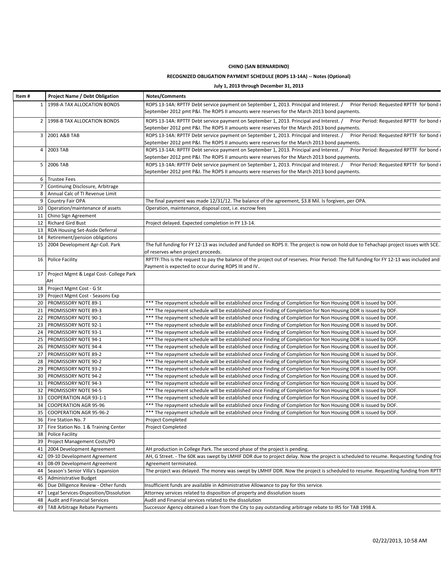### CHINO (SAN BERNARDINO)

### RECOGNIZED OBLIGATION PAYMENT SCHEDULE (ROPS 13-14A) -- Notes (Optional)

### July 1, 2013 through December 31, 2013

| Item# | <b>Project Name / Debt Obligation</b>     | <b>Notes/Comments</b>                                                                                                                                                                                                            |
|-------|-------------------------------------------|----------------------------------------------------------------------------------------------------------------------------------------------------------------------------------------------------------------------------------|
| 1     | 1998-A TAX ALLOCATION BONDS               | ROPS 13-14A: RPTTF Debt service payment on September 1, 2013. Principal and Interest. /<br>Prior Period: Requested RPTTF for bond                                                                                                |
|       |                                           | September 2012 pmt P&I. The ROPS II amounts were reserves for the March 2013 bond payments.                                                                                                                                      |
|       | 2   1998-B TAX ALLOCATION BONDS           | ROPS 13-14A: RPTTF Debt service payment on September 1, 2013. Principal and Interest. /<br>Prior Period: Requested RPTTF for bond                                                                                                |
|       |                                           | September 2012 pmt P&I. The ROPS II amounts were reserves for the March 2013 bond payments.                                                                                                                                      |
| 3     | 2001 A&B TAB                              | Prior Period: Requested RPTTF for bond<br>ROPS 13-14A: RPTTF Debt service payment on September 1, 2013. Principal and Interest. /                                                                                                |
|       |                                           | September 2012 pmt P&I. The ROPS II amounts were reserves for the March 2013 bond payments.                                                                                                                                      |
|       | 4 2003 TAB                                | Prior Period: Requested RPTTF for bond<br>ROPS 13-14A: RPTTF Debt service payment on September 1, 2013. Principal and Interest. /<br>September 2012 pmt P&I. The ROPS II amounts were reserves for the March 2013 bond payments. |
|       | 5 2006 TAB                                | ROPS 13-14A: RPTTF Debt service payment on September 1, 2013. Principal and Interest. /<br>Prior Period: Requested RPTTF for bond                                                                                                |
|       |                                           | September 2012 pmt P&I. The ROPS II amounts were reserves for the March 2013 bond payments.                                                                                                                                      |
|       | 6 Trustee Fees                            |                                                                                                                                                                                                                                  |
| 7     | Continuing Disclosure, Arbitrage          |                                                                                                                                                                                                                                  |
|       | 8   Annual Calc of TI Revenue Limit       |                                                                                                                                                                                                                                  |
| 9     | <b>Country Fair OPA</b>                   | The final payment was made 12/31/12. The balance of the agreement, \$3.8 Mil. Is forgiven, per OPA.                                                                                                                              |
|       | 10 Operation/maintenance of assets        | Operation, maintenance, disposal cost, i.e. escrow fees                                                                                                                                                                          |
|       | 11   Chino Sign Agreement                 |                                                                                                                                                                                                                                  |
|       | 12   Richard Gird Bust                    | Project delayed. Expected completion in FY 13-14.                                                                                                                                                                                |
|       | 13   RDA Housing Set-Aside Deferral       |                                                                                                                                                                                                                                  |
| 14    | Retirement/pension obligations            |                                                                                                                                                                                                                                  |
| 15    | 2004 Development Agr-Coll. Park           | The full funding for FY 12-13 was included and funded on ROPS II. The project is now on hold due to Tehachapi project issues with SCE.                                                                                           |
|       |                                           | of reserves when project proceeds.                                                                                                                                                                                               |
|       | 16 Police Facility                        | RPTTF: This is the request to pay the balance of the project out of reserves. Prior Period: The full funding for FY 12-13 was included and                                                                                       |
|       |                                           | Payment is expected to occur during ROPS III and IV                                                                                                                                                                              |
| 17    | Project Mgmt & Legal Cost- College Park   |                                                                                                                                                                                                                                  |
|       | AH                                        |                                                                                                                                                                                                                                  |
|       | 18 Project Mgmt Cost - G St               |                                                                                                                                                                                                                                  |
|       | 19 Project Mgmt Cost - Seasons Exp        |                                                                                                                                                                                                                                  |
|       | 20   PROMISSORY NOTE 89-1                 | *** The repayment schedule will be established once Finding of Completion for Non Housing DDR is issued by DOF.                                                                                                                  |
|       | 21   PROMISSORY NOTE 89-3                 | *** The repayment schedule will be established once Finding of Completion for Non Housing DDR is issued by DOF.                                                                                                                  |
|       | 22   PROMISSORY NOTE 90-1                 | *** The repayment schedule will be established once Finding of Completion for Non Housing DDR is issued by DOF.                                                                                                                  |
|       | 23   PROMISSORY NOTE 92-1                 | *** The repayment schedule will be established once Finding of Completion for Non Housing DDR is issued by DOF.                                                                                                                  |
|       | 24   PROMISSORY NOTE 93-1                 | *** The repayment schedule will be established once Finding of Completion for Non Housing DDR is issued by DOF.                                                                                                                  |
|       | 25   PROMISSORY NOTE 94-1                 | *** The repayment schedule will be established once Finding of Completion for Non Housing DDR is issued by DOF.                                                                                                                  |
|       | 26   PROMISSORY NOTE 94-4                 | *** The repayment schedule will be established once Finding of Completion for Non Housing DDR is issued by DOF.                                                                                                                  |
|       | 27   PROMISSORY NOTE 89-2                 | *** The repayment schedule will be established once Finding of Completion for Non Housing DDR is issued by DOF.                                                                                                                  |
|       | 28   PROMISSORY NOTE 90-2                 | *** The repayment schedule will be established once Finding of Completion for Non Housing DDR is issued by DOF.                                                                                                                  |
|       | 29   PROMISSORY NOTE 93-2                 | *** The repayment schedule will be established once Finding of Completion for Non Housing DDR is issued by DOF.                                                                                                                  |
|       | 30   PROMISSORY NOTE 94-2                 | *** The repayment schedule will be established once Finding of Completion for Non Housing DDR is issued by DOF.                                                                                                                  |
|       | 31   PROMISSORY NOTE 94-3                 | *** The repayment schedule will be established once Finding of Completion for Non Housing DDR is issued by DOF.                                                                                                                  |
|       | 32   PROMISSORY NOTE 94-5                 | *** The repayment schedule will be established once Finding of Completion for Non Housing DDR is issued by DOF.                                                                                                                  |
| 33    | <b>COOPERATION AGR 93-1-1</b>             | *** The repayment schedule will be established once Finding of Completion for Non Housing DDR is issued by DOF.                                                                                                                  |
|       | 34   COOPERATION AGR 95-96                | *** The repayment schedule will be established once Finding of Completion for Non Housing DDR is issued by DOF.                                                                                                                  |
|       | 35   COOPERATION AGR 95-96-2              | *** The repayment schedule will be established once Finding of Completion for Non Housing DDR is issued by DOF.                                                                                                                  |
|       | 36   Fire Station No. 7                   | Project Completed                                                                                                                                                                                                                |
|       | 37 Fire Station No. 1 & Training Center   | <b>Project Completed</b>                                                                                                                                                                                                         |
|       | 38 Police Facility                        |                                                                                                                                                                                                                                  |
|       | 39 Project Management Costs/PD            |                                                                                                                                                                                                                                  |
|       | 41   2004 Development Agreement           | AH production in College Park. The second phase of the project is pending.                                                                                                                                                       |
|       | 42 09-10 Development Agreement            | AH, G Street. - The 60K was swept by LMHIF DDR due to project delay. Now the project is scheduled to resume. Requesting funding fro                                                                                              |
|       | 43   08-09 Development Agreement          | Agreement terminated.                                                                                                                                                                                                            |
|       | 44   Season's Senior Villa's Expansion    | The project was delayed. The money was swept by LMHIF DDR. Now the project is scheduled to resume. Requesting funding from RPTT                                                                                                  |
| 45    | Administrative Budget                     |                                                                                                                                                                                                                                  |
|       | 46   Due Dilligence Review - Other funds  | Insufficient funds are available in Administrative Allowance to pay for this service.                                                                                                                                            |
|       | 47 Legal Services-Disposition/Dissolution | Attorney services related to disposition of property and dissolution issues                                                                                                                                                      |
| 48    | Audit and Financial Services              | Audit and Financial services related to the dissolution                                                                                                                                                                          |
|       | 49   TAB Arbitrage Rebate Payments        | Successor Agency obtained a loan from the City to pay outstanding arbitrage rebate to IRS for TAB 1998 A.                                                                                                                        |